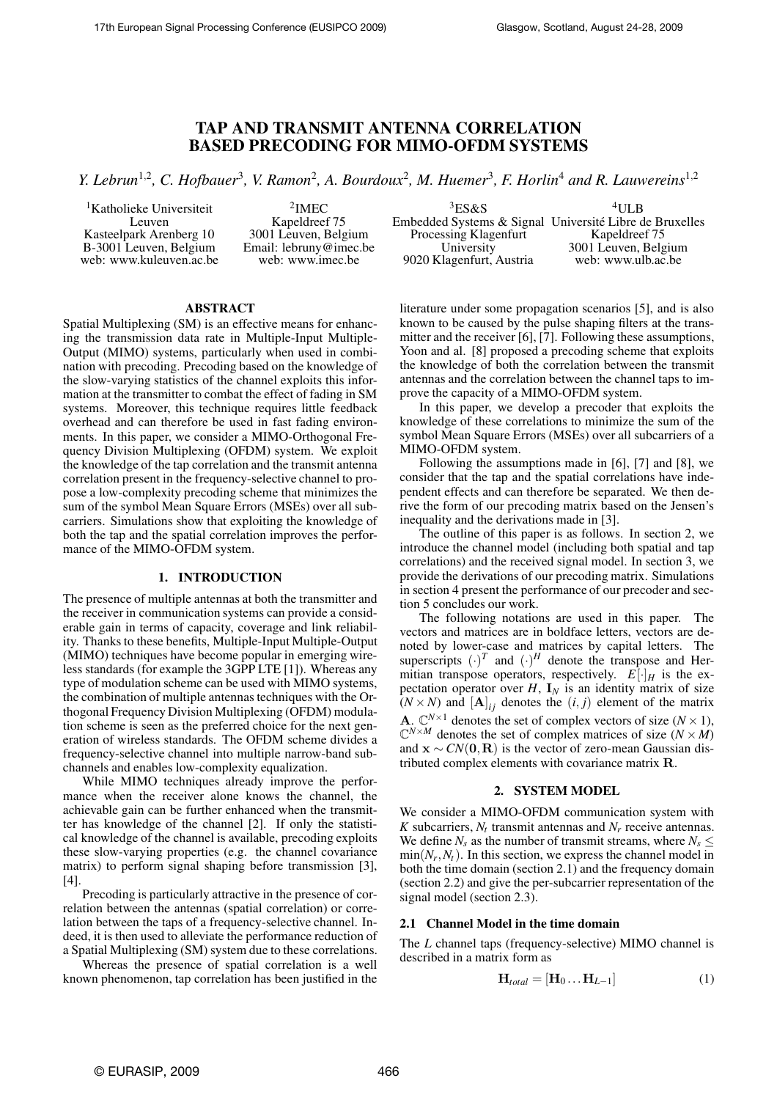# **TAP AND TRANSMIT ANTENNA CORRELATION BASED PRECODING FOR MIMO-OFDM SYSTEMS**

Y. Lebrun<sup>1,2</sup>, C. Hofbauer<sup>3</sup>, V. Ramon<sup>2</sup>, A. Bourdoux<sup>2</sup>, M. Huemer<sup>3</sup>, F. Horlin<sup>4</sup> and R. Lauwereins<sup>1,2</sup>

<sup>1</sup>Katholieke Universiteit Leuven Kasteelpark Arenberg 10 B-3001 Leuven, Belgium web: www.kuleuven.ac.be

2 IMEC Kapeldreef 75 3001 Leuven, Belgium Email: lebruny@imec.be web: www.imec.be

 ${}^{3}ES\&S$ Embedded Systems & Signal Université Libre de Bruxelles Processing Klagenfurt University 9020 Klagenfurt, Austria  $4$ ULB Kapeldreef 75 3001 Leuven, Belgium web: www.ulb.ac.be

# **ABSTRACT**

Spatial Multiplexing (SM) is an effective means for enhancing the transmission data rate in Multiple-Input Multiple-Output (MIMO) systems, particularly when used in combination with precoding. Precoding based on the knowledge of the slow-varying statistics of the channel exploits this information at the transmitter to combat the effect of fading in SM systems. Moreover, this technique requires little feedback overhead and can therefore be used in fast fading environments. In this paper, we consider a MIMO-Orthogonal Frequency Division Multiplexing (OFDM) system. We exploit the knowledge of the tap correlation and the transmit antenna correlation present in the frequency-selective channel to propose a low-complexity precoding scheme that minimizes the sum of the symbol Mean Square Errors (MSEs) over all subcarriers. Simulations show that exploiting the knowledge of both the tap and the spatial correlation improves the performance of the MIMO-OFDM system.

#### **1. INTRODUCTION**

The presence of multiple antennas at both the transmitter and the receiver in communication systems can provide a considerable gain in terms of capacity, coverage and link reliability. Thanks to these benefits, Multiple-Input Multiple-Output (MIMO) techniques have become popular in emerging wireless standards (for example the 3GPP LTE [1]). Whereas any type of modulation scheme can be used with MIMO systems, the combination of multiple antennastechniques with the Orthogonal Frequency Division Multiplexing (OFDM) modulation scheme is seen as the preferred choice for the next generation of wireless standards. The OFDM scheme divides a frequency-selective channel into multiple narrow-band subchannels and enables low-complexity equalization.

While MIMO techniques already improve the performance when the receiver alone knows the channel, the achievable gain can be further enhanced when the transmitter has knowledge of the channel [2]. If only the statistical knowledge of the channel is available, precoding exploits these slow-varying properties (e.g. the channel covariance matrix) to perform signal shaping before transmission [3], [4].

Precoding is particularly attractive in the presence of correlation between the antennas (spatial correlation) or correlation between the taps of a frequency-selective channel. Indeed, it is then used to alleviate the performance reduction of a Spatial Multiplexing (SM) system due to these correlations.

Whereas the presence of spatial correlation is a well known phenomenon, tap correlation has been justified in the literature under some propagation scenarios [5], and is also known to be caused by the pulse shaping filters at the transmitter and the receiver [6], [7]. Following these assumptions, Yoon and al. [8] proposed a precoding scheme that exploits the knowledge of both the correlation between the transmit antennas and the correlation between the channel taps to improve the capacity of a MIMO-OFDM system.

In this paper, we develop a precoder that exploits the knowledge of these correlations to minimize the sum of the symbol Mean Square Errors (MSEs) over all subcarriers of a MIMO-OFDM system.

Following the assumptions made in [6], [7] and [8], we consider that the tap and the spatial correlations have independent effects and can therefore be separated. We then derive the form of our precoding matrix based on the Jensen's inequality and the derivations made in [3].

The outline of this paper is as follows. In section 2, we introduce the channel model (including both spatial and tap correlations) and the received signal model. In section 3, we provide the derivations of our precoding matrix. Simulations in section 4 present the performance of our precoder and section 5 concludes our work.

The following notations are used in this paper. The vectors and matrices are in boldface letters, vectors are denoted by lower-case and matrices by capital letters. The superscripts  $(\cdot)^T$  and  $(\cdot)^H$  denote the transpose and Hermitian transpose operators, respectively.  $E[\cdot]_H$  is the expectation operator over  $H$ ,  $I_N$  is an identity matrix of size  $(N \times N)$  and  $[A]_{ij}$  denotes the  $(i, j)$  element of the matrix **A.**  $\mathbb{C}^{N \times 1}$  denotes the set of complex vectors of size  $(N \times 1)$ ,  $\mathbb{C}^{N \times M}$  denotes the set of complex matrices of size  $(N \times M)$ and  $\mathbf{x} \sim CN(\mathbf{0}, \mathbf{R})$  is the vector of zero-mean Gaussian distributed complex elements with covariance matrix R.

#### **2. SYSTEM MODEL**

We consider a MIMO-OFDM communication system with *K* subcarriers,  $N_t$  transmit antennas and  $N_r$  receive antennas. We define  $N_s$  as the number of transmit streams, where  $N_s \leq$  $\min(N_r, N_t)$ . In this section, we express the channel model in both the time domain (section 2.1) and the frequency domain (section 2.2) and give the per-subcarrier representation of the signal model (section 2.3).

#### **2.1 Channel Model in the time domain**

The *L* channel taps (frequency-selective) MIMO channel is described in a matrix form as

$$
\mathbf{H}_{total} = [\mathbf{H}_0 \dots \mathbf{H}_{L-1}] \tag{1}
$$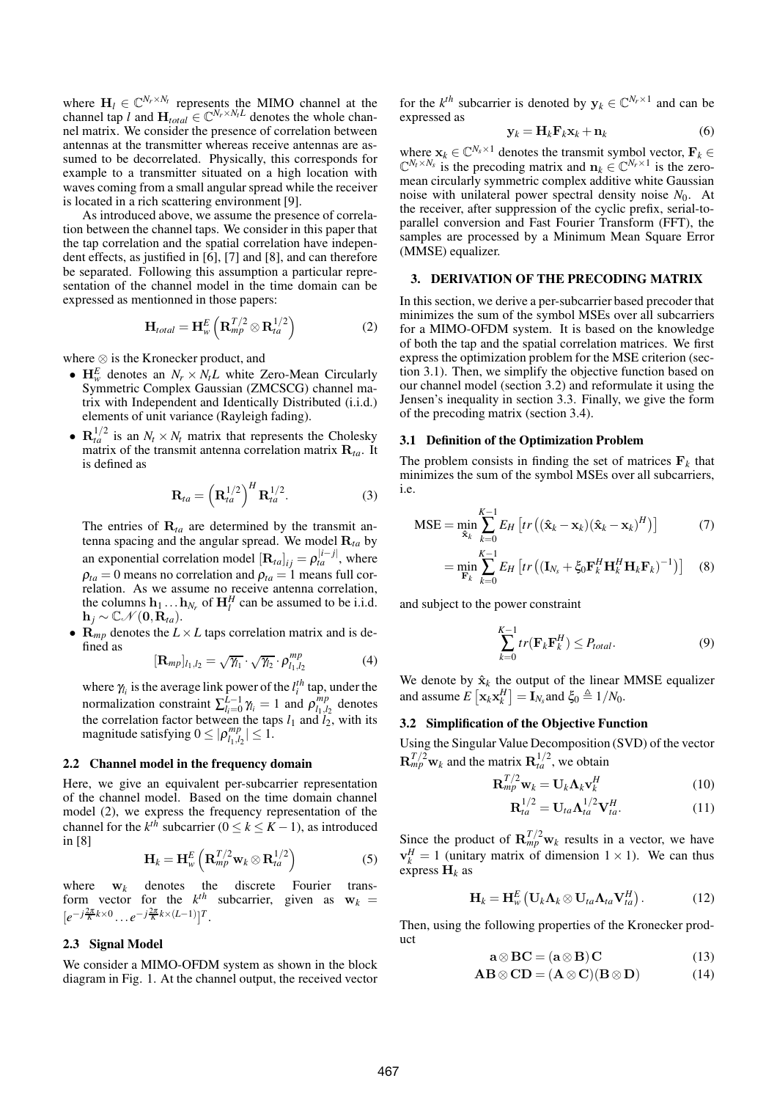where  $H_l \in \mathbb{C}^{N_r \times N_l}$  represents the MIMO channel at the channel tap *l* and  $\mathbf{H}_{total} \in \mathbb{C}^{N_r \times N_tL}$  denotes the whole channel matrix. We consider the presence of correlation between antennas at the transmitter whereas receive antennas are assumed to be decorrelated. Physically, this corresponds for example to a transmitter situated on a high location with waves coming from a small angular spread while the receiver is located in a rich scattering environment [9].

As introduced above, we assume the presence of correlation between the channel taps. We consider in this paper that the tap correlation and the spatial correlation have independent effects, as justified in [6], [7] and [8], and can therefore be separated. Following this assumption a particular representation of the channel model in the time domain can be expressed as mentionned in those papers:

$$
\mathbf{H}_{total} = \mathbf{H}_{w}^{E} \left( \mathbf{R}_{mp}^{T/2} \otimes \mathbf{R}_{ta}^{1/2} \right)
$$
 (2)

where ⊗ is the Kronecker product, and

- $H_w^E$  denotes an  $N_r \times N_t L$  white Zero-Mean Circularly Symmetric Complex Gaussian (ZMCSCG) channel matrix with Independent and Identically Distributed (i.i.d.) elements of unit variance (Rayleigh fading).
- $\mathbf{R}_{ta}^{1/2}$  is an  $N_t \times N_t$  matrix that represents the Cholesky matrix of the transmit antenna correlation matrix R*ta*. It is defined as

$$
\mathbf{R}_{ta} = \left(\mathbf{R}_{ta}^{1/2}\right)^H \mathbf{R}_{ta}^{1/2}.
$$
 (3)

The entries of  $\mathbf{R}_{ta}$  are determined by the transmit antenna spacing and the angular spread. We model  $\mathbf{R}_{ta}$  by an exponential correlation model  $[\mathbf{R}_{ta}]_{ij} = \rho_{ta}^{|i-j|}$ , where  $\rho_{ta} = 0$  means no correlation and  $\rho_{ta} = 1$  means full correlation. As we assume no receive antenna correlation, the columns  $\mathbf{h}_1 \dots \mathbf{h}_{N_r}$  of  $\mathbf{H}_l^H$  can be assumed to be i.i.d.  $\mathbf{h}_j \sim \mathbb{C} \mathcal{N}(\mathbf{0}, \mathbf{R}_{ta}).$ 

•  $\mathbf{R}_{mp}$  denotes the  $L \times L$  taps correlation matrix and is defined as

$$
[\mathbf{R}_{mp}]_{l_1,l_2} = \sqrt{\gamma_{l_1}} \cdot \sqrt{\gamma_{l_2}} \cdot \rho_{l_1,l_2}^{mp} \tag{4}
$$

where  $\gamma_{i}$  is the average link power of the  $l_i^{th}$  tap, under the normalization constraint  $\sum_{l_i=0}^{\bar{L}-1} \gamma_l = 1$  and  $\rho_{l_1,l_i}^{mp}$  $\binom{mp}{l_1, l_2}$  denotes the correlation factor between the taps  $l_1$  and  $l_2$ , with its magnitude satisfying  $0 \leq |\rho_{l_1,l_2}^{mp}|$  $|l_{1}, l_{2}| \leq 1.$ 

### **2.2 Channel model in the frequency domain**

Here, we give an equivalent per-subcarrier representation of the channel model. Based on the time domain channel model (2), we express the frequency representation of the channel for the  $k^{th}$  subcarrier ( $0 \le k \le K - 1$ ), as introduced in [8]

$$
\mathbf{H}_{k} = \mathbf{H}_{w}^{E} \left( \mathbf{R}_{mp}^{T/2} \mathbf{w}_{k} \otimes \mathbf{R}_{ta}^{1/2} \right)
$$
 (5)

where  $w_k$  denotes the discrete Fourier transform vector for the  $k^{th}$  subcarrier, given as  $\mathbf{w}_k =$  $[e^{-j\frac{2\pi}{K}k \times 0} \dots e^{-j\frac{2\pi}{K}k \times (L-1)}]^T$ .

## **2.3 Signal Model**

We consider a MIMO-OFDM system as shown in the block diagram in Fig. 1. At the channel output, the received vector

for the  $k^{th}$  subcarrier is denoted by  $y_k \in \mathbb{C}^{N_r \times 1}$  and can be expressed as

$$
\mathbf{y}_k = \mathbf{H}_k \mathbf{F}_k \mathbf{x}_k + \mathbf{n}_k \tag{6}
$$

where  $\mathbf{x}_k \in \mathbb{C}^{N_s \times 1}$  denotes the transmit symbol vector,  $\mathbf{F}_k \in \mathbb{C}^{N_t \times N_s}$  is the precoding matrix and  $\mathbf{n}_k \in \mathbb{C}^{N_r \times 1}$  is the zeromean circularly symmetric complex additive white Gaussian noise with unilateral power spectral density noise  $N_0$ . At the receiver, after suppression of the cyclic prefix, serial-toparallel conversion and Fast Fourier Transform (FFT), the samples are processed by a Minimum Mean Square Error (MMSE) equalizer.

# **3. DERIVATION OF THE PRECODING MATRIX**

In this section, we derive a per-subcarrier based precoder that minimizes the sum of the symbol MSEs over all subcarriers for a MIMO-OFDM system. It is based on the knowledge of both the tap and the spatial correlation matrices. We first express the optimization problem for the MSE criterion (section 3.1). Then, we simplify the objective function based on our channel model (section 3.2) and reformulate it using the Jensen's inequality in section 3.3. Finally, we give the form of the precoding matrix (section 3.4).

#### **3.1 Definition of the Optimization Problem**

The problem consists in finding the set of matrices  $\mathbf{F}_k$  that minimizes the sum of the symbol MSEs over all subcarriers, i.e.

$$
\text{MSE} = \min_{\hat{\mathbf{x}}_k} \sum_{k=0}^{K-1} E_H \left[ tr \left( (\hat{\mathbf{x}}_k - \mathbf{x}_k) (\hat{\mathbf{x}}_k - \mathbf{x}_k)^H \right) \right] \tag{7}
$$

$$
= \min_{\mathbf{F}_k} \sum_{k=0}^{K-1} E_H \left[ tr \left( (\mathbf{I}_{N_s} + \xi_0 \mathbf{F}_k^H \mathbf{H}_k^H \mathbf{H}_k \mathbf{F}_k)^{-1} \right) \right] \quad (8)
$$

and subject to the power constraint

$$
\sum_{k=0}^{K-1} tr(\mathbf{F}_k \mathbf{F}_k^H) \le P_{total}.
$$
\n(9)

We denote by  $\hat{\mathbf{x}}_k$  the output of the linear MMSE equalizer and assume  $E\left[\mathbf{x}_k \mathbf{x}_k^H\right] = \bar{\mathbf{I}}_{N_s}$  and  $\xi_0 \triangleq 1/N_0$ .

# **3.2 Simplification of the Objective Function**

Using the Singular Value Decomposition (SVD) of the vector  $\mathbf{R}_{mp}^{T/2}\mathbf{w}_k$  and the matrix  $\mathbf{R}_{ta}^{1/2}$ , we obtain

$$
\mathbf{R}_{mp}^{T/2}\mathbf{w}_k = \mathbf{U}_k \mathbf{\Lambda}_k \mathbf{v}_k^H
$$
 (10)

$$
\mathbf{R}_{ta}^{1/2} = \mathbf{U}_{ta} \mathbf{\Lambda}_{ta}^{1/2} \mathbf{V}_{ta}^H.
$$
 (11)

Since the product of  $\mathbf{R}_{mp}^{T/2}$  w<sub>k</sub> results in a vector, we have  $\mathbf{v}_k^H = 1$  (unitary matrix of dimension  $1 \times 1$ ). We can thus express  $H_k$  as

$$
\mathbf{H}_{k} = \mathbf{H}_{w}^{E} \left( \mathbf{U}_{k} \mathbf{\Lambda}_{k} \otimes \mathbf{U}_{ta} \mathbf{\Lambda}_{ta} \mathbf{V}_{ta}^{H} \right).
$$
 (12)

Then, using the following properties of the Kronecker product

$$
\mathbf{a} \otimes \mathbf{B} \mathbf{C} = (\mathbf{a} \otimes \mathbf{B}) \mathbf{C} \tag{13}
$$

$$
AB \otimes CD = (A \otimes C)(B \otimes D) \tag{14}
$$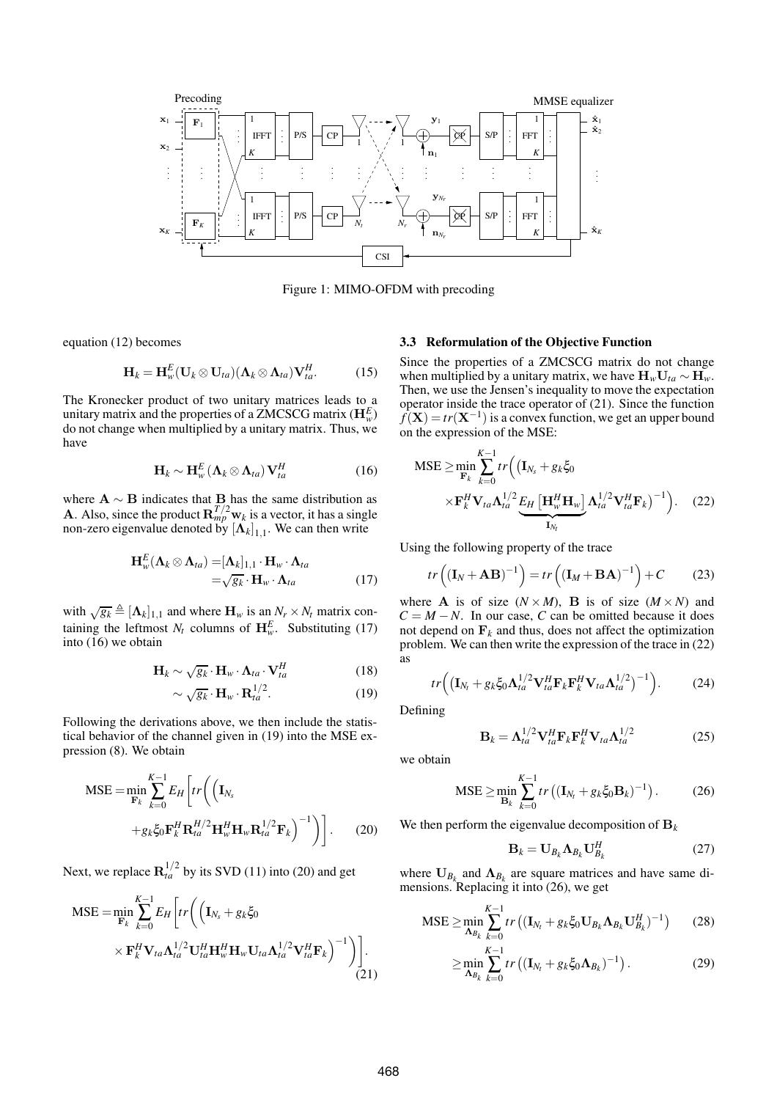

Figure 1: MIMO-OFDM with precoding

equation (12) becomes

$$
\mathbf{H}_k = \mathbf{H}_{w}^{E}(\mathbf{U}_k \otimes \mathbf{U}_{ta})(\mathbf{\Lambda}_k \otimes \mathbf{\Lambda}_{ta})\mathbf{V}_{ta}^{H}.
$$
 (15)

The Kronecker product of two unitary matrices leads to a unitary matrix and the properties of a ZMCSCG matrix  $(\mathbf{H}^E_w)$ do not change when multiplied by a unitary matrix. Thus, we have

$$
\mathbf{H}_{k} \sim \mathbf{H}_{w}^{E} \left( \mathbf{\Lambda}_{k} \otimes \mathbf{\Lambda}_{ta} \right) \mathbf{V}_{ta}^{H} \tag{16}
$$

where  $\mathbf{A} \sim \mathbf{B}$  indicates that  $\mathbf{B}$  has the same distribution as **A**. Also, since the product  $\mathbf{R}_{mp}^{T/2} \mathbf{w}_k$  is a vector, it has a single non-zero eigenvalue denoted by  $\left[\mathbf{\Lambda}_{k}\right]_{1,1}$ . We can then write

$$
\mathbf{H}_{w}^{E}(\mathbf{\Lambda}_{k} \otimes \mathbf{\Lambda}_{ta}) = [\mathbf{\Lambda}_{k}]_{1,1} \cdot \mathbf{H}_{w} \cdot \mathbf{\Lambda}_{ta} \n= \sqrt{g_{k}} \cdot \mathbf{H}_{w} \cdot \mathbf{\Lambda}_{ta}
$$
\n(17)

with  $\sqrt{g_k} \triangleq [\mathbf{\Lambda}_k]_{1,1}$  and where  $\mathbf{H}_w$  is an  $N_r \times N_t$  matrix containing the leftmost  $N_t$  columns of  $\mathbf{H}_{w}^E$ . Substituting (17) into (16) we obtain

$$
\mathbf{H}_{k} \sim \sqrt{g_{k}} \cdot \mathbf{H}_{w} \cdot \mathbf{\Lambda}_{ta} \cdot \mathbf{V}_{ta}^{H}
$$
 (18)

$$
\sim \sqrt{g_k} \cdot \mathbf{H}_w \cdot \mathbf{R}_{ta}^{1/2}.
$$
 (19)

Following the derivations above, we then include the statistical behavior of the channel given in (19) into the MSE expression (8). We obtain

$$
\begin{split} \text{MSE} &= \min_{\mathbf{F}_k} \sum_{k=0}^{K-1} E_H \left[ tr \left( \left( \mathbf{I}_{N_s} \right. \\ &+ g_k \xi_0 \mathbf{F}_k^H \mathbf{R}_a^{H/2} \mathbf{H}_w^H \mathbf{H}_w \mathbf{R}_{ta}^{1/2} \mathbf{F}_k \right)^{-1} \right) \right]. \end{split} \tag{20}
$$

Next, we replace  $\mathbf{R}_{ta}^{1/2}$  by its SVD (11) into (20) and get

$$
\begin{split} \text{MSE} &= \min_{\mathbf{F}_k} \sum_{k=0}^{K-1} E_H \bigg[ tr \bigg( \Big( \mathbf{I}_{N_s} + g_k \xi_0 \\ &\times \mathbf{F}_k^H \mathbf{V}_{ta} \mathbf{\Lambda}_{ta}^{1/2} \mathbf{U}_{ta}^H \mathbf{H}_w^H \mathbf{H}_w \mathbf{U}_{ta} \mathbf{\Lambda}_{ta}^{1/2} \mathbf{V}_{ta}^H \mathbf{F}_k \bigg)^{-1} \bigg) \bigg]. \end{split} \tag{21}
$$

# **3.3 Reformulation of the Objective Function**

Since the properties of a ZMCSCG matrix do not change when multiplied by a unitary matrix, we have  $H_wU_{ta} \sim H_w$ . Then, we use the Jensen's inequality to move the expectation operator inside the trace operator of (21). Since the function  $f(X) = tr(X^{-1})$  is a convex function, we get an upper bound on the expression of the MSE:

$$
\begin{split} \text{MSE} &\geq \min_{\mathbf{F}_k} \sum_{k=0}^{K-1} tr \Big( \big( \mathbf{I}_{N_s} + g_k \xi_0 \\ &\times \mathbf{F}_k^H \mathbf{V}_{ta} \boldsymbol{\Lambda}_{ta}^{1/2} \underbrace{E_H \left[ \mathbf{H}_w^H \mathbf{H}_w \right]}_{\mathbf{I}_{N_t}} \boldsymbol{\Lambda}_{ta}^{1/2} \mathbf{V}_{ta}^H \mathbf{F}_k \big)^{-1} \Big). \end{split} \tag{22}
$$

Using the following property of the trace

$$
tr\left((\mathbf{I}_N + \mathbf{A}\mathbf{B})^{-1}\right) = tr\left((\mathbf{I}_M + \mathbf{B}\mathbf{A})^{-1}\right) + C \tag{23}
$$

where **A** is of size  $(N \times M)$ , **B** is of size  $(M \times N)$  and  $C = M - N$ . In our case, *C* can be omitted because it does not depend on  $\mathbf{F}_k$  and thus, does not affect the optimization problem. We can then write the expression of the trace in (22) as

$$
tr\Big(\big(\mathbf{I}_{N_t}+g_k\xi_0\boldsymbol{\Lambda}_{ta}^{1/2}\mathbf{V}_{ta}^H\mathbf{F}_k\mathbf{F}_k^H\mathbf{V}_{ta}\boldsymbol{\Lambda}_{ta}^{1/2}\big)^{-1}\Big). \hspace{1cm} (24)
$$

Defining

$$
\mathbf{B}_{k} = \mathbf{\Lambda}_{ta}^{1/2} \mathbf{V}_{ta}^{H} \mathbf{F}_{k} \mathbf{F}_{k}^{H} \mathbf{V}_{ta} \mathbf{\Lambda}_{ta}^{1/2}
$$
 (25)

we obtain

$$
\text{MSE} \ge \min_{\mathbf{B}_k} \sum_{k=0}^{K-1} tr\left( (\mathbf{I}_{N_t} + g_k \xi_0 \mathbf{B}_k)^{-1} \right). \tag{26}
$$

We then perform the eigenvalue decomposition of  $B_k$ 

$$
\mathbf{B}_k = \mathbf{U}_{B_k} \mathbf{\Lambda}_{B_k} \mathbf{U}_{B_k}^H \tag{27}
$$

where  $U_{B_k}$  and  $\Lambda_{B_k}$  are square matrices and have same dimensions. Replacing it into (26), we get

$$
\text{MSE} \geq \min_{\mathbf{A}_{B_k}} \sum_{k=0}^{K-1} tr\left( (\mathbf{I}_{N_t} + g_k \xi_0 \mathbf{U}_{B_k} \mathbf{\Lambda}_{B_k} \mathbf{U}_{B_k}^H)^{-1} \right) \tag{28}
$$

$$
\geq \min_{\mathbf{\Lambda}_{B_k}} \sum_{k=0}^{K-1} tr\left( (\mathbf{I}_{N_t} + g_k \xi_0 \mathbf{\Lambda}_{B_k})^{-1} \right). \tag{29}
$$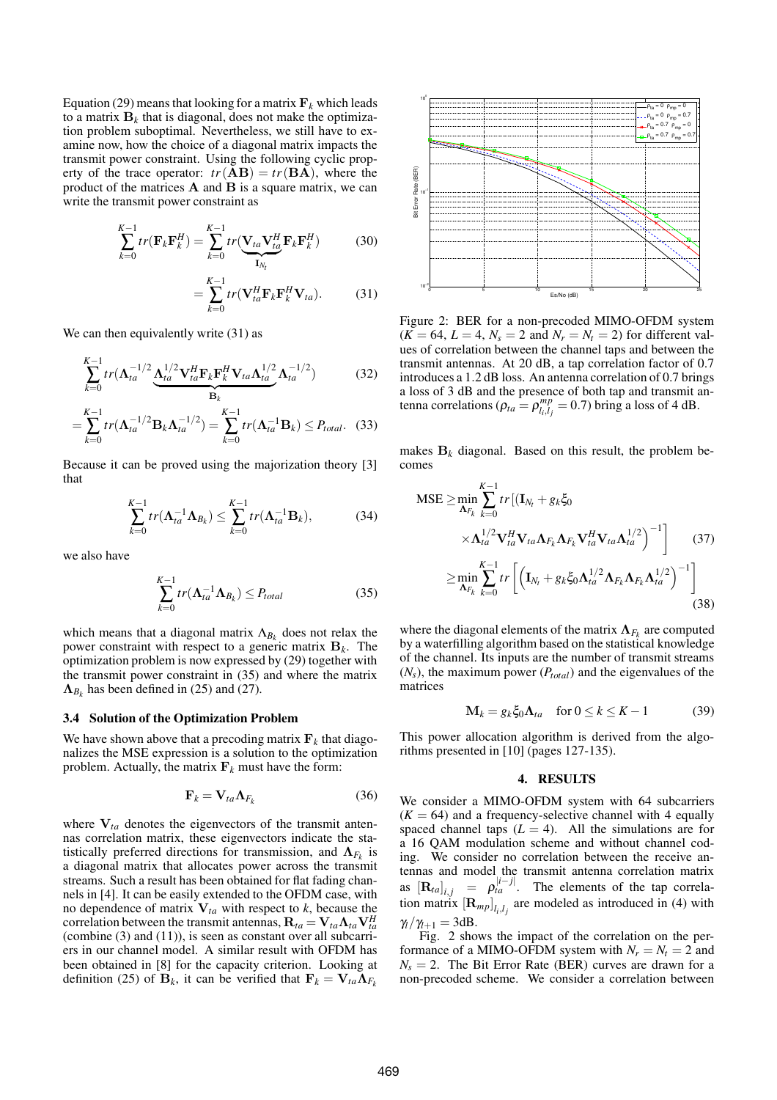Equation (29) means that looking for a matrix  $\mathbf{F}_k$  which leads to a matrix  $\mathbf{B}_k$  that is diagonal, does not make the optimization problem suboptimal. Nevertheless, we still have to examine now, how the choice of a diagonal matrix impacts the transmit power constraint. Using the following cyclic property of the trace operator:  $tr(\overrightarrow{AB}) = tr(\overrightarrow{BA})$ , where the product of the matrices A and B is a square matrix, we can write the transmit power constraint as

$$
\sum_{k=0}^{K-1} tr(\mathbf{F}_k \mathbf{F}_k^H) = \sum_{k=0}^{K-1} tr(\underbrace{\mathbf{V}_{ta} \mathbf{V}_{ta}^H \mathbf{F}_k \mathbf{F}_k^H}_{\mathbf{I}_{N_t}})
$$
(30)

$$
= \sum_{k=0}^{K-1} tr(\mathbf{V}_{ta}^H \mathbf{F}_k \mathbf{F}_k^H \mathbf{V}_{ta}).
$$
 (31)

We can then equivalently write  $(31)$  as

$$
\sum_{k=0}^{K-1} tr(\mathbf{\Lambda}_{ta}^{-1/2} \underbrace{\mathbf{\Lambda}_{ta}^{1/2} \mathbf{V}_{ta}^H \mathbf{F}_k \mathbf{F}_k^H \mathbf{V}_{ta} \mathbf{\Lambda}_{ta}^{1/2}}_{\mathbf{B}_k} \mathbf{\Lambda}_{ta}^{-1/2})
$$
(32)

$$
=\sum_{k=0}^{K-1} tr(\mathbf{\Lambda}_{ta}^{-1/2} \mathbf{B}_k \mathbf{\Lambda}_{ta}^{-1/2}) = \sum_{k=0}^{K-1} tr(\mathbf{\Lambda}_{ta}^{-1} \mathbf{B}_k) \le P_{total}.
$$
 (33)

Because it can be proved using the majorization theory [3] that

$$
\sum_{k=0}^{K-1} tr(\mathbf{\Lambda}_{ta}^{-1} \mathbf{\Lambda}_{B_k}) \leq \sum_{k=0}^{K-1} tr(\mathbf{\Lambda}_{ta}^{-1} \mathbf{B}_k), \tag{34}
$$

we also have

$$
\sum_{k=0}^{K-1} tr(\mathbf{\Lambda}_{ta}^{-1} \mathbf{\Lambda}_{B_k}) \le P_{total}
$$
 (35)

which means that a diagonal matrix  $\Lambda_{B_k}$  does not relax the power constraint with respect to a generic matrix B*<sup>k</sup>* . The optimization problem is now expressed by (29) together with the transmit power constraint in (35) and where the matrix  $\Lambda_{B_k}$  has been defined in (25) and (27).

#### **3.4 Solution of the Optimization Problem**

We have shown above that a precoding matrix  $\mathbf{F}_k$  that diagonalizes the MSE expression is a solution to the optimization problem. Actually, the matrix  $\mathbf{F}_k$  must have the form:

$$
\mathbf{F}_k = \mathbf{V}_{ta} \mathbf{\Lambda}_{F_k} \tag{36}
$$

where  $V_{ta}$  denotes the eigenvectors of the transmit antennas correlation matrix, these eigenvectors indicate the statistically preferred directions for transmission, and  $\Lambda_{F_k}$  is a diagonal matrix that allocates power across the transmit streams. Such a result has been obtained for flat fading channels in [4]. It can be easily extended to the OFDM case, with no dependence of matrix  $V_{ta}$  with respect to *k*, because the correlation between the transmit antennas,  $\mathbf{R}_{ta} = \mathbf{V}_{ta} \mathbf{\Lambda}_{ta} \mathbf{V}_{ta}^H$ (combine (3) and (11)), is seen as constant over all subcarriers in our channel model. A similar result with OFDM has been obtained in [8] for the capacity criterion. Looking at definition (25) of  $\mathbf{B}_k$ , it can be verified that  $\mathbf{F}_k = \mathbf{V}_{ta} \mathbf{\Lambda}_{F_k}$ 



Figure 2: BER for a non-precoded MIMO-OFDM system  $(K = 64, L = 4, N_s = 2$  and  $N_r = N_t = 2$ ) for different values of correlation between the channel taps and between the transmit antennas. At 20 dB, a tap correlation factor of 0.7 introduces a 1.2 dB loss. An antenna correlation of 0.7 brings a loss of 3 dB and the presence of both tap and transmit antenna correlations ( $\rho_{ta} = \rho_{l_1,l_2}^{mp}$  $_{i_l}^{mp} = 0.7$ ) bring a loss of 4 dB.

makes  $B_k$  diagonal. Based on this result, the problem becomes

$$
MSE \ge \min_{\mathbf{\Lambda}_{F_k}} \sum_{k=0}^{K-1} tr \left[ (\mathbf{I}_{N_t} + g_k \xi_0 \times \mathbf{\Lambda}_{I_d} + g_k \xi_0) \times \mathbf{\Lambda}_{I_d}^{1/2} \mathbf{V}_{I_d}^H \mathbf{V}_{I_d} \mathbf{\Lambda}_{F_k} \mathbf{\Lambda}_{F_k} \mathbf{V}_{I_d}^H \mathbf{V}_{I_d} \mathbf{\Lambda}_{I_d}^{1/2} \right]^{-1} \right]
$$
(37)  

$$
\ge \min_{\mathbf{\Lambda}_{F_k}} \sum_{k=0}^{K-1} tr \left[ \left( \mathbf{I}_{N_t} + g_k \xi_0 \mathbf{\Lambda}_{I_d}^{1/2} \mathbf{\Lambda}_{F_k} \mathbf{\Lambda}_{F_k} \mathbf{\Lambda}_{I_d}^{1/2} \right)^{-1} \right]
$$
(38)

where the diagonal elements of the matrix  $\mathbf{\Lambda}_{F_k}$  are computed by a waterfilling algorithm based on the statistical knowledge of the channel. Its inputs are the number of transmit streams  $(N_s)$ , the maximum power  $(P_{total})$  and the eigenvalues of the matrices

$$
\mathbf{M}_{k} = g_{k} \xi_{0} \mathbf{\Lambda}_{ta} \quad \text{for } 0 \leq k \leq K - 1 \tag{39}
$$

This power allocation algorithm is derived from the algorithms presented in [10] (pages 127-135).

## **4. RESULTS**

We consider a MIMO-OFDM system with 64 subcarriers  $(K = 64)$  and a frequency-selective channel with 4 equally spaced channel taps  $(L = 4)$ . All the simulations are for a 16 QAM modulation scheme and without channel coding. We consider no correlation between the receive antennas and model the transmit antenna correlation matrix as  $\left[\mathbf{R}_{ta}\right]_{i,j} = \rho_{ta}^{|i-j|}$ . The elements of the tap correlation matrix  $[\mathbf{R}_{mp}]_{l_i,l_j}$  are modeled as introduced in (4) with  $\gamma_l/\gamma_{l+1} = 3dB$ .

Fig. 2 shows the impact of the correlation on the performance of a MIMO-OFDM system with  $N_r = N_t = 2$  and  $N_s = 2$ . The Bit Error Rate (BER) curves are drawn for a non-precoded scheme. We consider a correlation between